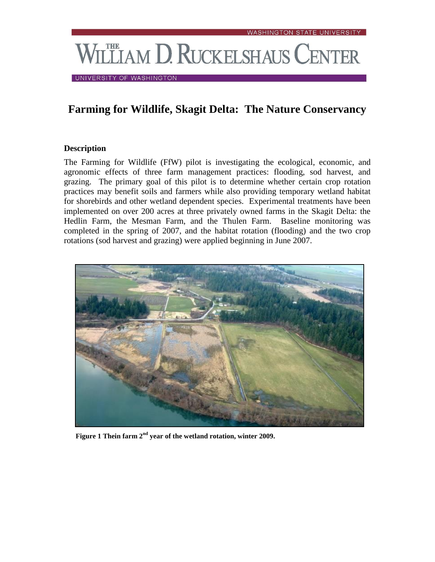# VILLIAM D. RUCKELSHAUS CENTER

UNIVERSITY OF WASHINGTON

## **Farming for Wildlife, Skagit Delta: The Nature Conservancy**

#### **Description**

The Farming for Wildlife (FfW) pilot is investigating the ecological, economic, and agronomic effects of three farm management practices: flooding, sod harvest, and grazing. The primary goal of this pilot is to determine whether certain crop rotation practices may benefit soils and farmers while also providing temporary wetland habitat for shorebirds and other wetland dependent species. Experimental treatments have been implemented on over 200 acres at three privately owned farms in the Skagit Delta: the Hedlin Farm, the Mesman Farm, and the Thulen Farm. Baseline monitoring was completed in the spring of 2007, and the habitat rotation (flooding) and the two crop rotations (sod harvest and grazing) were applied beginning in June 2007.



 **Figure 1 Thein farm 2nd year of the wetland rotation, winter 2009.**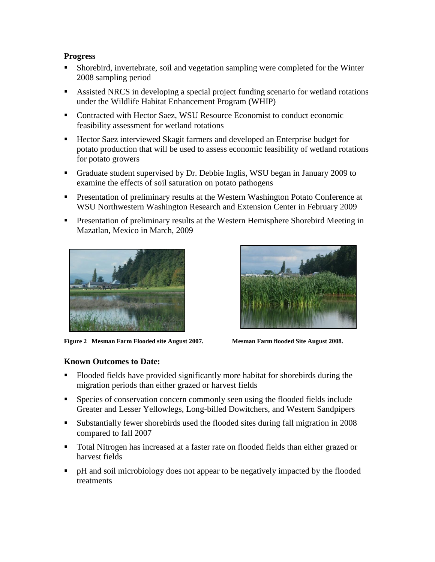#### **Progress**

- Shorebird, invertebrate, soil and vegetation sampling were completed for the Winter 2008 sampling period
- Assisted NRCS in developing a special project funding scenario for wetland rotations under the Wildlife Habitat Enhancement Program (WHIP)
- Contracted with Hector Saez, WSU Resource Economist to conduct economic feasibility assessment for wetland rotations
- Hector Saez interviewed Skagit farmers and developed an Enterprise budget for potato production that will be used to assess economic feasibility of wetland rotations for potato growers
- Graduate student supervised by Dr. Debbie Inglis, WSU began in January 2009 to examine the effects of soil saturation on potato pathogens
- **Presentation of preliminary results at the Western Washington Potato Conference at** WSU Northwestern Washington Research and Extension Center in February 2009
- **Presentation of preliminary results at the Western Hemisphere Shorebird Meeting in** Mazatlan, Mexico in March, 2009



**Figure 2 Mesman Farm Flooded site August 2007. Mesman Farm flooded Site August 2008.**



### **Known Outcomes to Date:**

- Flooded fields have provided significantly more habitat for shorebirds during the migration periods than either grazed or harvest fields
- Species of conservation concern commonly seen using the flooded fields include Greater and Lesser Yellowlegs, Long-billed Dowitchers, and Western Sandpipers
- Substantially fewer shorebirds used the flooded sites during fall migration in 2008 compared to fall 2007
- Total Nitrogen has increased at a faster rate on flooded fields than either grazed or harvest fields
- pH and soil microbiology does not appear to be negatively impacted by the flooded treatments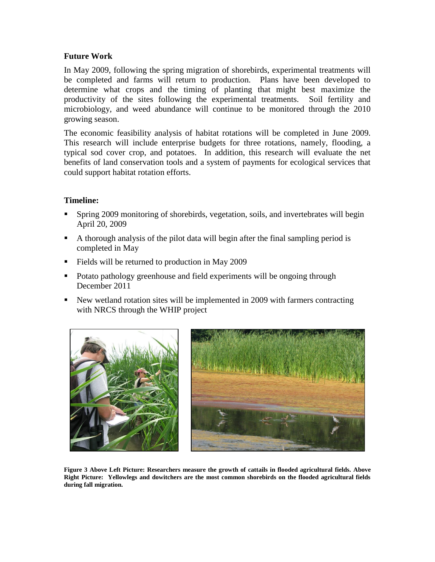#### **Future Work**

In May 2009, following the spring migration of shorebirds, experimental treatments will be completed and farms will return to production. Plans have been developed to determine what crops and the timing of planting that might best maximize the productivity of the sites following the experimental treatments. Soil fertility and microbiology, and weed abundance will continue to be monitored through the 2010 growing season.

The economic feasibility analysis of habitat rotations will be completed in June 2009. This research will include enterprise budgets for three rotations, namely, flooding, a typical sod cover crop, and potatoes. In addition, this research will evaluate the net benefits of land conservation tools and a system of payments for ecological services that could support habitat rotation efforts.

#### **Timeline:**

- Spring 2009 monitoring of shorebirds, vegetation, soils, and invertebrates will begin April 20, 2009
- A thorough analysis of the pilot data will begin after the final sampling period is completed in May
- Fields will be returned to production in May 2009
- Potato pathology greenhouse and field experiments will be ongoing through December 2011
- New wetland rotation sites will be implemented in 2009 with farmers contracting with NRCS through the WHIP project



**Figure 3 Above Left Picture: Researchers measure the growth of cattails in flooded agricultural fields. Above Right Picture: Yellowlegs and dowitchers are the most common shorebirds on the flooded agricultural fields during fall migration.**